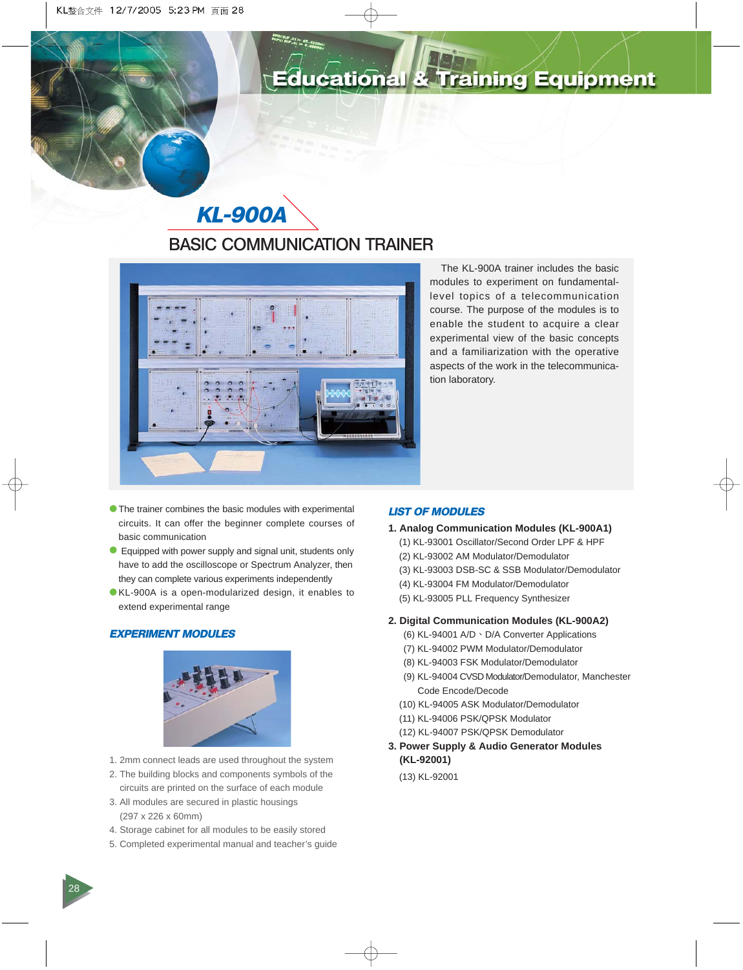# ducational & Training Equipment

# **KL-900A BASIC COMMUNICATION TRAINER**



The KL-900A trainer includes the basic modules to experiment on fundamentallevel topics of a telecommunication course. The purpose of the modules is to enable the student to acquire a clear experimental view of the basic concepts and a familiarization with the operative aspects of the work in the telecommunication laboratory.

- œ The trainer combines the basic modules with experimental circuits. It can offer the beginner complete courses of basic communication
- Equipped with power supply and signal unit, students only have to add the oscilloscope or Spectrum Analyzer, then they can complete various experiments independently
- œ KL-900A is a open-modularized design, it enables to extend experimental range

# **EXPERIMENT MODULES**



- 1. 2mm connect leads are used throughout the system
- 2. The building blocks and components symbols of the circuits are printed on the surface of each module
- 3. All modules are secured in plastic housings (297 x 226 x 60mm)
- 4. Storage cabinet for all modules to be easily stored
- 5. Completed experimental manual and teacher's guide

# **LIST OF MODULES**

- **1. Analog Communication Modules (KL-900A1)**
	- (1) KL-93001 Oscillator/Second Order LPF & HPF
	- (2) KL-93002 AM Modulator/Demodulator
	- (3) KL-93003 DSB-SC & SSB Modulator/Demodulator
	- (4) KL-93004 FM Modulator/Demodulator
	- (5) KL-93005 PLL Frequency Synthesizer

## **2. Digital Communication Modules (KL-900A2)**

- (6) KL-94001 A/D · D/A Converter Applications
- (7) KL-94002 PWM Modulator/Demodulator
- (8) KL-94003 FSK Modulator/Demodulator
- (9) KL-94004 CVSD Modulator/Demodulator, Manchester Code Encode/Decode
- (10) KL-94005 ASK Modulator/Demodulator
- (11) KL-94006 PSK/QPSK Modulator
- (12) KL-94007 PSK/QPSK Demodulator
- **3. Power Supply & Audio Generator Modules (KL-92001)**

(13) KL-92001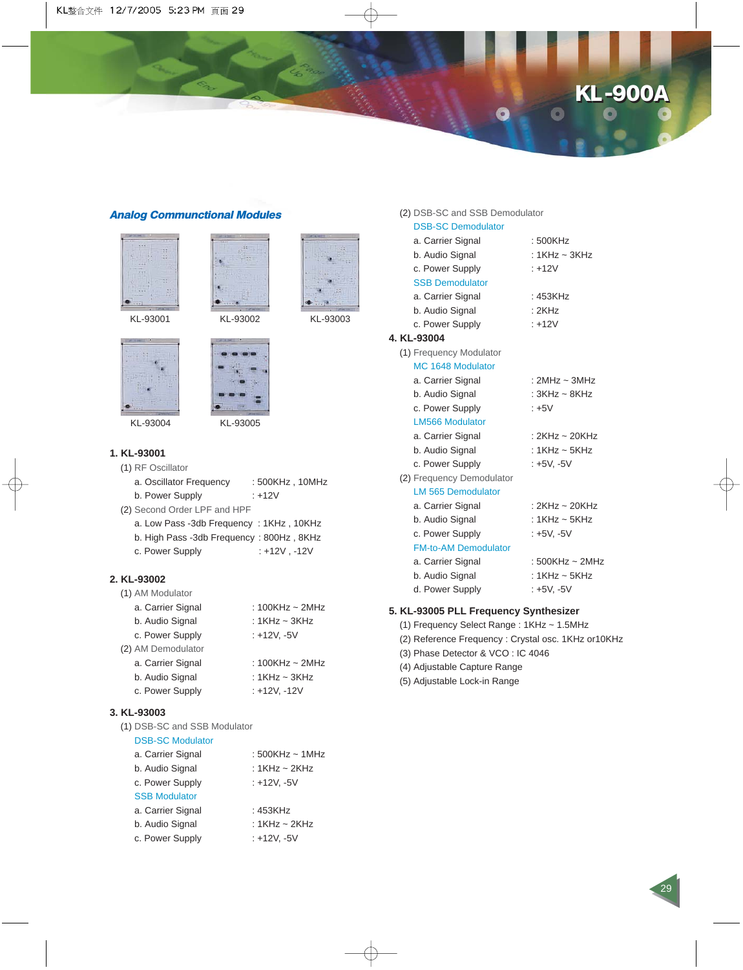# **KL -900A KL -900A**

29

## **Analog Communctional Modules**







KL-93004 KL-93005

#### **1. KL-93001**

(1) RF Oscillator

- a. Oscillator Frequency : 500KHz, 10MHz b. Power Supply : +12V
- (2) Second Order LPF and HPF
	- a. Low Pass -3db Frequency : 1KHz , 10KHz b. High Pass -3db Frequency : 800Hz , 8KHz
	- c. Power Supply : +12V , -12V
	-

## **2. KL-93002**

| (1) AM Modulator   |                      |
|--------------------|----------------------|
| a. Carrier Signal  | : 100KHz $\sim$ 2MHz |
| b. Audio Signal    | : 1KHz ~ 3KHz        |
| c. Power Supply    | : +12V, -5V          |
| (2) AM Demodulator |                      |
| a. Carrier Signal  | : 100KHz ~ 2MHz      |
| b. Audio Signal    | : 1KHz ~ 3KHz        |
| c. Power Supply    | : +12V, -12V         |

## **3. KL-93003**

(1) DSB-SC and SSB Modulator

# DSB-SC Modulator

| a. Carrier Signal    | : $500$ KHz ~ 1MHz |
|----------------------|--------------------|
| b. Audio Signal      | : 1KHz $\sim$ 2KHz |
| c. Power Supply      | : +12V, -5V        |
| <b>SSB Modulator</b> |                    |
| a. Carrier Signal    | : 453KHz           |
| b. Audio Signal      | : 1KHz ~ 2KHz      |
| c. Power Supply      | : +12V. -5V        |
|                      |                    |

| (2) DSB-SC and SSB Demodulator |                      |
|--------------------------------|----------------------|
| <b>DSB-SC Demodulator</b>      |                      |
| a. Carrier Signal              | : 500KHz             |
| b. Audio Signal                | : $1$ KHz ~ $3$ KHz  |
| c. Power Supply                | $: +12V$             |
| <b>SSB Demodulator</b>         |                      |
| a. Carrier Signal              | : 453KHz             |
| b. Audio Signal                | :2KHz                |
| c. Power Supply                | $: +12V$             |
| 4. KL-93004                    |                      |
| (1) Frequency Modulator        |                      |
| MC 1648 Modulator              |                      |
| a. Carrier Signal              | : $2MHz \sim 3MHz$   |
| b. Audio Signal                | : $3KHz \sim 8KHz$   |
| c. Power Supply                | $: +5V$              |
| <b>LM566 Modulator</b>         |                      |
| a. Carrier Signal              | : $2KHz \sim 20KHz$  |
| b. Audio Signal                | : $1$ KHz ~ $5$ KHz  |
| c. Power Supply                | : +5V, -5V           |
| (2) Frequency Demodulator      |                      |
| <b>LM 565 Demodulator</b>      |                      |
| a. Carrier Signal              | : $2$ KHz ~ $20$ KHz |
| b. Audio Signal                | : $1$ KHz ~ $5$ KHz  |
| c. Power Supply                | : +5V, -5V           |
| <b>FM-to-AM Demodulator</b>    |                      |
| a. Carrier Signal              | : 500KHz ~ 2MHz      |
| b. Audio Signal                | : $1$ KHz ~ $5$ KHz  |

# d. Power Supply : +5V, -5V **5. KL-93005 PLL Frequency Synthesizer**

- (1) Frequency Select Range : 1KHz ~ 1.5MHz
- 
- (2) Reference Frequency : Crystal osc. 1KHz or10KHz
- (3) Phase Detector & VCO : IC 4046
- (4) Adjustable Capture Range
- (5) Adjustable Lock-in Range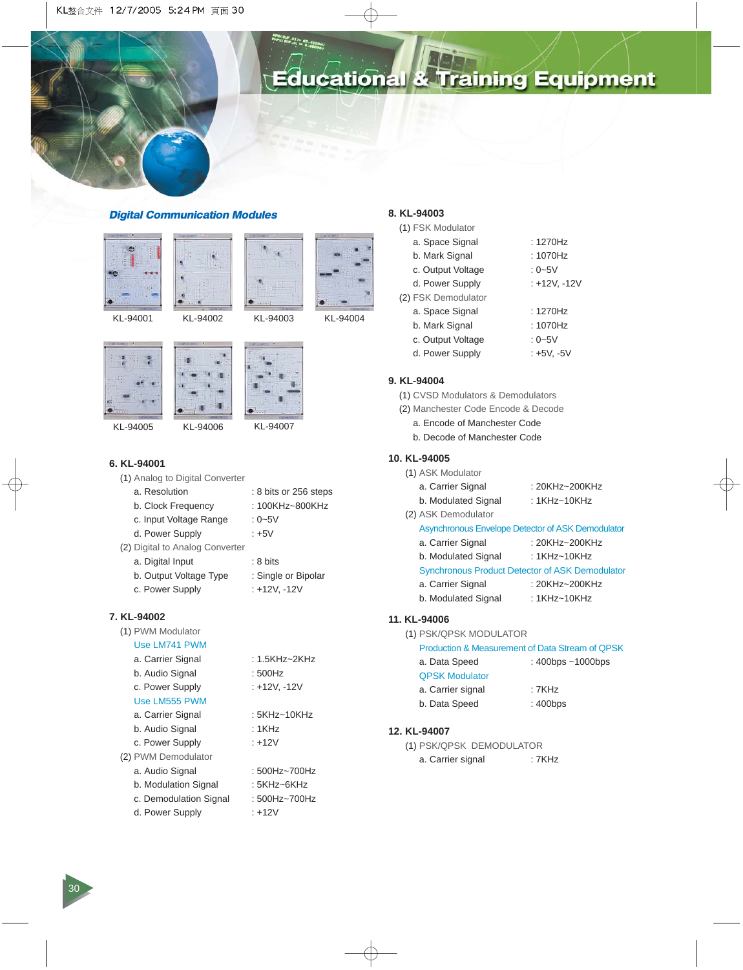

# ducational & Training Equipment

## **Digital Communication Modules**







KL-94004









KL-94005

KL-94006 KL-94007

# **6. KL-94001**

|  |  | (1) Analog to Digital Converter |
|--|--|---------------------------------|
|  |  |                                 |

| a. Resolution                   | : 8 bits or 256 steps |
|---------------------------------|-----------------------|
| b. Clock Frequency              | : 100KHz~800KHz       |
| c. Input Voltage Range          | : 0~5V                |
| d. Power Supply                 | : +5V                 |
| (2) Digital to Analog Converter |                       |
| a. Digital Input                | $: 8 \text{ bits}$    |
| b. Output Voltage Type          | : Single or Bipolar   |
|                                 |                       |

c. Power Supply : +12V, -12V

## **7. KL-94002**

| (1) PWM Modulator      |               |
|------------------------|---------------|
| Use LM741 PWM          |               |
| a. Carrier Signal      | : 1.5KHz~2KHz |
| b. Audio Signal        | : 500Hz       |
| c. Power Supply        | : +12V, -12V  |
| Use LM555 PWM          |               |
| a. Carrier Signal      | : 5KHz~10KHz  |
| b. Audio Signal        | : 1KHz        |
| c. Power Supply        | : +12V        |
| (2) PWM Demodulator    |               |
| a. Audio Signal        | : 500Hz~700Hz |
| b. Modulation Signal   | : 5KHz~6KHz   |
| c. Demodulation Signal | : 500Hz~700Hz |
| d. Power Supply        | : +12V        |

## **8. KL-94003**

| (1) FSK Modulator   |              |
|---------------------|--------------|
| a. Space Signal     | : 1270Hz     |
| b. Mark Signal      | :1070Hz      |
| c. Output Voltage   | : $0 - 5V$   |
| d. Power Supply     | : +12V, -12V |
| (2) FSK Demodulator |              |
| a. Space Signal     | : 1270Hz     |
| b. Mark Signal      | :1070Hz      |
| c. Output Voltage   | : $0 - 5V$   |
| d. Power Supply     | : +5V. -5V   |
|                     |              |

# **9. KL-94004**

- (1) CVSD Modulators & Demodulators
- (2) Manchester Code Encode & Decode
	- a. Encode of Manchester Code
	- b. Decode of Manchester Code

## **10. KL-94005**

|  |  | (1) ASK Modulator |
|--|--|-------------------|
|--|--|-------------------|

| a. Carrier Signal   | : 20KHz~200KHz |
|---------------------|----------------|
| b. Modulated Signal | : 1KHz~10KHz   |

(2) ASK Demodulator

#### Asynchronous Envelope Detector of ASK Demodulator

- a. Carrier Signal : 20KHz~200KHz b. Modulated Signal : 1KHz~10KHz Synchronous Product Detector of ASK Demodulator a. Carrier Signal : 20KHz~200KHz
- b. Modulated Signal : 1KHz~10KHz

# **11. KL-94006**

(1) PSK/QPSK MODULATOR

| Production & Measurement of Data Stream of QPSK |  |  |  |
|-------------------------------------------------|--|--|--|
|-------------------------------------------------|--|--|--|

| a. Data Speed         | : $400$ bps $\sim$ 1000bps |
|-----------------------|----------------------------|
| <b>QPSK Modulator</b> |                            |
| a. Carrier signal     | : 7KHz                     |
| b. Data Speed         | : 400bps                   |

#### **12. KL-94007**

| (1) PSK/QPSK DEMODULATOR |       |
|--------------------------|-------|
| a. Carrier signal        | :7KHz |